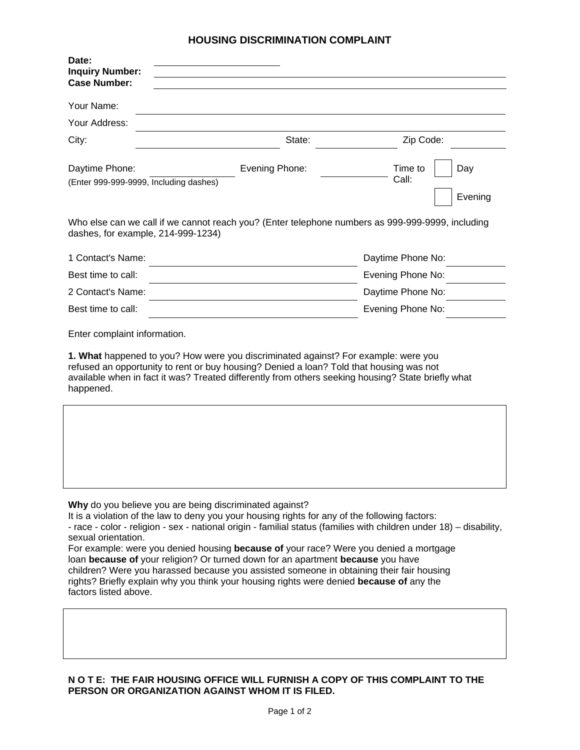## **HOUSING DISCRIMINATION COMPLAINT**

| Date:<br><b>Inquiry Number:</b><br><b>Case Number:</b>                                                                                                                                                                                                                                                                                                                                                                                                                              |                |                                    |  |  |
|-------------------------------------------------------------------------------------------------------------------------------------------------------------------------------------------------------------------------------------------------------------------------------------------------------------------------------------------------------------------------------------------------------------------------------------------------------------------------------------|----------------|------------------------------------|--|--|
| Your Name:                                                                                                                                                                                                                                                                                                                                                                                                                                                                          |                |                                    |  |  |
| Your Address:                                                                                                                                                                                                                                                                                                                                                                                                                                                                       |                |                                    |  |  |
| City:                                                                                                                                                                                                                                                                                                                                                                                                                                                                               | State:         | Zip Code:                          |  |  |
| Daytime Phone:<br>(Enter 999-999-9999, Including dashes)                                                                                                                                                                                                                                                                                                                                                                                                                            | Evening Phone: | Time to<br>Day<br>Call:<br>Evening |  |  |
| Who else can we call if we cannot reach you? (Enter telephone numbers as 999-999-9999, including<br>dashes, for example, 214-999-1234)                                                                                                                                                                                                                                                                                                                                              |                |                                    |  |  |
| 1 Contact's Name:                                                                                                                                                                                                                                                                                                                                                                                                                                                                   |                | Daytime Phone No:                  |  |  |
| Best time to call:                                                                                                                                                                                                                                                                                                                                                                                                                                                                  |                | Evening Phone No:                  |  |  |
| 2 Contact's Name:                                                                                                                                                                                                                                                                                                                                                                                                                                                                   |                | Daytime Phone No:                  |  |  |
| Best time to call:                                                                                                                                                                                                                                                                                                                                                                                                                                                                  |                | Evening Phone No:                  |  |  |
| Enter complaint information.<br>1. What happened to you? How were you discriminated against? For example: were you<br>refused an opportunity to rent or buy housing? Denied a loan? Told that housing was not<br>available when in fact it was? Treated differently from others seeking housing? State briefly what<br>happened.                                                                                                                                                    |                |                                    |  |  |
|                                                                                                                                                                                                                                                                                                                                                                                                                                                                                     |                |                                    |  |  |
| Why do you believe you are being discriminated against?<br>It is a violation of the law to deny you your housing rights for any of the following factors:<br>- race - color - religion - sex - national origin - familial status (families with children under 18) - disability,<br>sexual orientation.<br>For example: were you denied housing because of your race? Were you denied a mortgage<br>loan because of your religion? Or turned down for an apartment because you have |                |                                    |  |  |

children? Were you harassed because you assisted someone in obtaining their fair housing rights? Briefly explain why you think your housing rights were denied **because of** any the factors listed above.

## **N O T E: THE FAIR HOUSING OFFICE WILL FURNISH A COPY OF THIS COMPLAINT TO THE PERSON OR ORGANIZATION AGAINST WHOM IT IS FILED.**